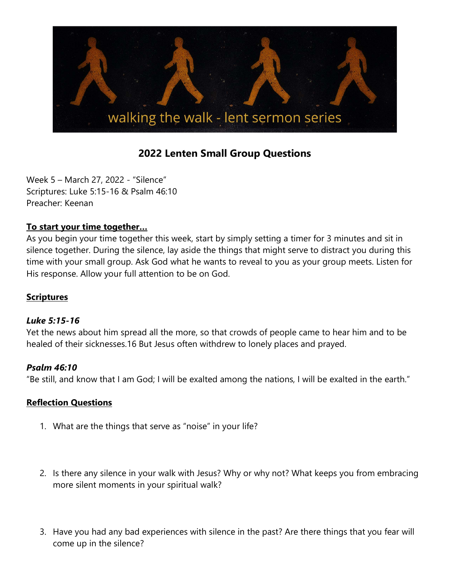

# 2022 Lenten Small Group Questions

Week 5 – March 27, 2022 - "Silence" Scriptures: Luke 5:15-16 & Psalm 46:10 Preacher: Keenan

## To start your time together…

As you begin your time together this week, start by simply setting a timer for 3 minutes and sit in silence together. During the silence, lay aside the things that might serve to distract you during this time with your small group. Ask God what he wants to reveal to you as your group meets. Listen for His response. Allow your full attention to be on God.

## **Scriptures**

#### Luke 5:15-16

Yet the news about him spread all the more, so that crowds of people came to hear him and to be healed of their sicknesses.16 But Jesus often withdrew to lonely places and prayed.

#### Psalm 46:10

"Be still, and know that I am God; I will be exalted among the nations, I will be exalted in the earth."

## Reflection Questions

- 1. What are the things that serve as "noise" in your life?
- 2. Is there any silence in your walk with Jesus? Why or why not? What keeps you from embracing more silent moments in your spiritual walk?
- 3. Have you had any bad experiences with silence in the past? Are there things that you fear will come up in the silence?